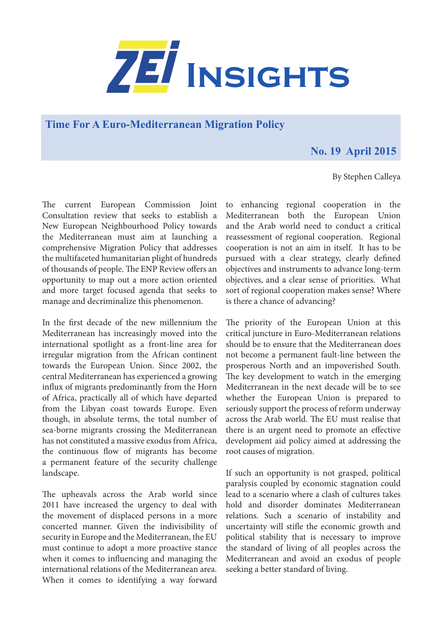

**Time For A Euro-Mediterranean Migration Policy**

## **No. 19 April 2015**

## By Stephen Calleya

The current European Commission Joint Consultation review that seeks to establish a New European Neighbourhood Policy towards the Mediterranean must aim at launching a comprehensive Migration Policy that addresses the multifaceted humanitarian plight of hundreds of thousands of people. The ENP Review offers an opportunity to map out a more action oriented and more target focused agenda that seeks to manage and decriminalize this phenomenon.

In the first decade of the new millennium the Mediterranean has increasingly moved into the international spotlight as a front-line area for irregular migration from the African continent towards the European Union. Since 2002, the central Mediterranean has experienced a growing influx of migrants predominantly from the Horn of Africa, practically all of which have departed from the Libyan coast towards Europe. Even though, in absolute terms, the total number of sea-borne migrants crossing the Mediterranean has not constituted a massive exodus from Africa, the continuous flow of migrants has become a permanent feature of the security challenge landscape.

The upheavals across the Arab world since 2011 have increased the urgency to deal with the movement of displaced persons in a more concerted manner. Given the indivisibility of security in Europe and the Mediterranean, the EU must continue to adopt a more proactive stance when it comes to influencing and managing the international relations of the Mediterranean area. When it comes to identifying a way forward

to enhancing regional cooperation in the Mediterranean both the European Union and the Arab world need to conduct a critical reassessment of regional cooperation. Regional cooperation is not an aim in itself. It has to be pursued with a clear strategy, clearly defined objectives and instruments to advance long-term objectives, and a clear sense of priorities. What sort of regional cooperation makes sense? Where is there a chance of advancing?

The priority of the European Union at this critical juncture in Euro-Mediterranean relations should be to ensure that the Mediterranean does not become a permanent fault-line between the prosperous North and an impoverished South. The key development to watch in the emerging Mediterranean in the next decade will be to see whether the European Union is prepared to seriously support the process of reform underway across the Arab world. The EU must realise that there is an urgent need to promote an effective development aid policy aimed at addressing the root causes of migration.

If such an opportunity is not grasped, political paralysis coupled by economic stagnation could lead to a scenario where a clash of cultures takes hold and disorder dominates Mediterranean relations. Such a scenario of instability and uncertainty will stifle the economic growth and political stability that is necessary to improve the standard of living of all peoples across the Mediterranean and avoid an exodus of people seeking a better standard of living.